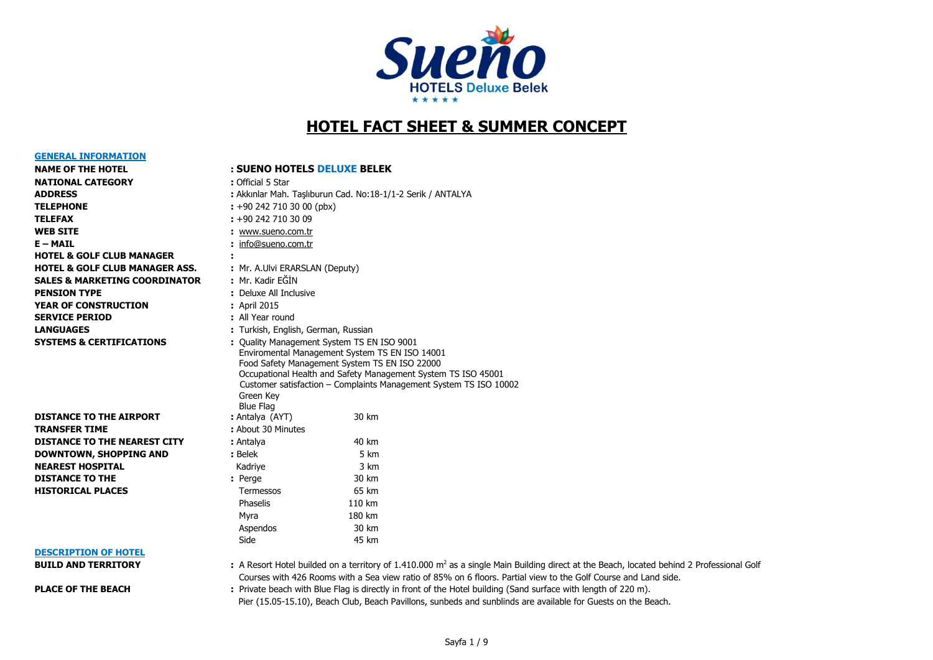

## **HOTEL FACT SHEET & SUMMER CONCEPT**

| <b>NAME OF THE HOTEL</b>                  | ۰ |
|-------------------------------------------|---|
| <b>NATIONAL CATEGORY</b>                  |   |
| <b>ADDRESS</b>                            | ÷ |
| <b>TELEPHONE</b>                          | ÷ |
| <b>TELEFAX</b>                            | ÷ |
| <b>WEB SITE</b>                           | ÷ |
| E – MAIL                                  | ÷ |
| <b>HOTEL &amp; GOLF CLUB MANAGER</b>      | ÷ |
| <b>HOTEL &amp; GOLF CLUB MANAGER ASS.</b> | t |
| <b>SALES &amp; MARKETING COORDINATOR</b>  | ÷ |
| <b>PENSION TYPE</b>                       |   |
| <b>YEAR OF CONSTRUCTION</b>               | ٠ |
| <b>SERVICE PERIOD</b>                     |   |
| <b>LANGUAGES</b>                          |   |
| AVATELIA A AEBTTETALTTALIA                |   |

**GENERAL INFORMATION**

# **TRANSFER TIME : About 30 Minutes**

## **:** +90 242 710 30 00 (pbx) **TELEFAX :** +90 242 710 30 09 **WEB SITE :** [www.sueno.com.tr](http://www.sueno.com.tr/) **E – MAIL :** [info@sueno.com.tr](mailto:info@sueno.com.tr) **:** Mr. A.Ulvi ERARSLAN (Deputy) **SALES MARK**<br>SALEY MARKETING KATA **PENDIXE All Inclusive** *B* April 2015 **SERVICE PERIOD :** All Year round **LANGUAGES :** Turkish, English, German, Russian **SYSTEMS & CERTIFICATIONS :** Quality Management System TS EN ISO 9001 Enviromental Management System TS EN ISO 14001 Food Safety Management System TS EN ISO 22000 Occupational Health and Safety Management System TS ISO 45001 Customer satisfaction – Complaints Management System TS ISO 10002 Green Key Blue Flag **DISTANCE TO THE AIRPORT :** Antalya (AYT) 30 km **DISTANCE TO THE NEAREST CITY** : Antalya 40 km **DOWNTOWN, SHOPPING AND :** Belek 5 km **NEAREST HOSPITAL CONSERVERSITY AND A MEARE SET ASSAULT A MEARE SET AND A MEARE SET AND A MEARE SET AND A MEAR DISTANCE TO THE :** Perge 30 km **HISTORICAL PLACES** Termessos 65 km **Phaselis** 2110 km Myra 180 km Aspendos 30 km en die staat in die Side is in 1918 het 1918 het 1918 het 1918 het 1918 het 1918 het 1918 het 1918 het 1918 he

**ADDRESS :** Akkınlar Mah. Taşlıburun Cad. No:18-1/1-2 Serik / ANTALYA

**NAME OF THE HOTEL : SUENO HOTELS DELUXE BELEK**

**: Official 5 Star** 

# **DESCRIPTION OF HOTEL**

**BUILD AND TERRITORY** : A Resort Hotel builded on a territory of 1.410.000 m<sup>2</sup> as a single Main Building direct at the Beach, located behind 2 Professional Golf Courses with 426 Rooms with a Sea view ratio of 85% on 6 floors. Partial view to the Golf Course and Land side.

**PLACE OF THE BEACH** : Private beach with Blue Flag is directly in front of the Hotel building (Sand surface with length of 220 m). Pier (15.05-15.10), Beach Club, Beach Pavillons, sunbeds and sunblinds are available for Guests on the Beach.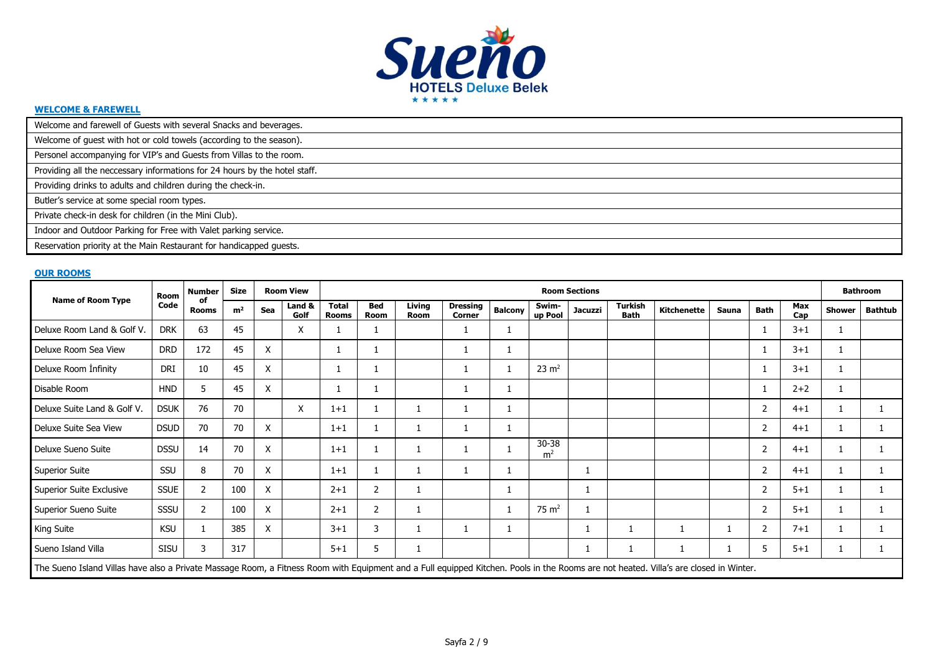

#### **WELCOME & FAREWELL**

| Welcome and farewell of Guests with several Snacks and beverages.          |
|----------------------------------------------------------------------------|
| Welcome of guest with hot or cold towels (according to the season).        |
| Personel accompanying for VIP's and Guests from Villas to the room.        |
| Providing all the neccessary informations for 24 hours by the hotel staff. |
| Providing drinks to adults and children during the check-in.               |
| Butler's service at some special room types.                               |
| Private check-in desk for children (in the Mini Club).                     |
| Indoor and Outdoor Parking for Free with Valet parking service.            |
| Reservation priority at the Main Restaurant for handicapped guests.        |

#### **OUR ROOMS**

|                                                                                                                                                                                       | Room        | <b>Number</b>      | <b>Size</b>    |     | <b>Room View</b> |                              |             |                       |                                  |                |                         | <b>Room Sections</b> |                               |                    |       |                |            |        | <b>Bathroom</b> |
|---------------------------------------------------------------------------------------------------------------------------------------------------------------------------------------|-------------|--------------------|----------------|-----|------------------|------------------------------|-------------|-----------------------|----------------------------------|----------------|-------------------------|----------------------|-------------------------------|--------------------|-------|----------------|------------|--------|-----------------|
| <b>Name of Room Type</b>                                                                                                                                                              | Code        | оf<br><b>Rooms</b> | m <sup>2</sup> | Sea | Land &<br>Golf   | <b>Total</b><br><b>Rooms</b> | Bed<br>Room | Living<br><b>Room</b> | <b>Dressing</b><br><b>Corner</b> | <b>Balcony</b> | Swim-<br>up Pool        | <b>Jacuzzi</b>       | <b>Turkish</b><br><b>Bath</b> | <b>Kitchenette</b> | Sauna | <b>Bath</b>    | Max<br>Cap | Shower | <b>Bathtub</b>  |
| Deluxe Room Land & Golf V.                                                                                                                                                            | <b>DRK</b>  | 63                 | 45             |     | X                |                              |             |                       |                                  |                |                         |                      |                               |                    |       |                | $3 + 1$    |        |                 |
| Deluxe Room Sea View                                                                                                                                                                  | <b>DRD</b>  | 172                | 45             | X   |                  |                              |             |                       |                                  |                |                         |                      |                               |                    |       |                | $3 + 1$    |        |                 |
| Deluxe Room Infinity                                                                                                                                                                  | DRI         | 10                 | 45             | X   |                  |                              |             |                       |                                  |                | $23 \text{ m}^2$        |                      |                               |                    |       |                | $3 + 1$    |        |                 |
| Disable Room                                                                                                                                                                          | <b>HND</b>  |                    | 45             | X   |                  | 1                            |             |                       |                                  |                |                         |                      |                               |                    |       |                | $2+2$      |        |                 |
| Deluxe Suite Land & Golf V.                                                                                                                                                           | <b>DSUK</b> | 76                 | 70             |     | X                | $1 + 1$                      |             |                       |                                  |                |                         |                      |                               |                    |       |                | $4 + 1$    |        |                 |
| Deluxe Suite Sea View                                                                                                                                                                 | <b>DSUD</b> | 70                 | 70             | X   |                  | $1 + 1$                      |             |                       |                                  |                |                         |                      |                               |                    |       | $\overline{2}$ | $4 + 1$    |        |                 |
| Deluxe Sueno Suite                                                                                                                                                                    | <b>DSSU</b> | 14                 | 70             | X   |                  | $1+1$                        |             |                       |                                  |                | 30-38<br>m <sup>2</sup> |                      |                               |                    |       |                | $4 + 1$    |        |                 |
| <b>Superior Suite</b>                                                                                                                                                                 | SSU         | 8                  | 70             | X   |                  | $1+1$                        |             |                       |                                  |                |                         |                      |                               |                    |       | 2              | $4 + 1$    |        |                 |
| Superior Suite Exclusive                                                                                                                                                              | <b>SSUE</b> | $\overline{2}$     | 100            | X   |                  | $2 + 1$                      | 2           |                       |                                  |                |                         |                      |                               |                    |       |                | $5 + 1$    |        |                 |
| Superior Sueno Suite                                                                                                                                                                  | SSSU        | 2                  | 100            | X   |                  | $2 + 1$                      | 2           |                       |                                  |                | $75 \text{ m}^2$        |                      |                               |                    |       | 2              | $5 + 1$    |        |                 |
| <b>King Suite</b>                                                                                                                                                                     | <b>KSU</b>  |                    | 385            | X   |                  | $3 + 1$                      | 3           |                       |                                  |                |                         |                      |                               |                    |       |                | $7 + 1$    |        |                 |
| Sueno Island Villa                                                                                                                                                                    | <b>SISU</b> | 3                  | 317            |     |                  | $5 + 1$                      | 5           | 1                     |                                  |                |                         |                      | <b>T</b>                      |                    |       | 5.             | $5 + 1$    |        |                 |
| The Sueno Island Villas have also a Private Massage Room, a Fitness Room with Equipment and a Full equipped Kitchen. Pools in the Rooms are not heated. Villa's are closed in Winter. |             |                    |                |     |                  |                              |             |                       |                                  |                |                         |                      |                               |                    |       |                |            |        |                 |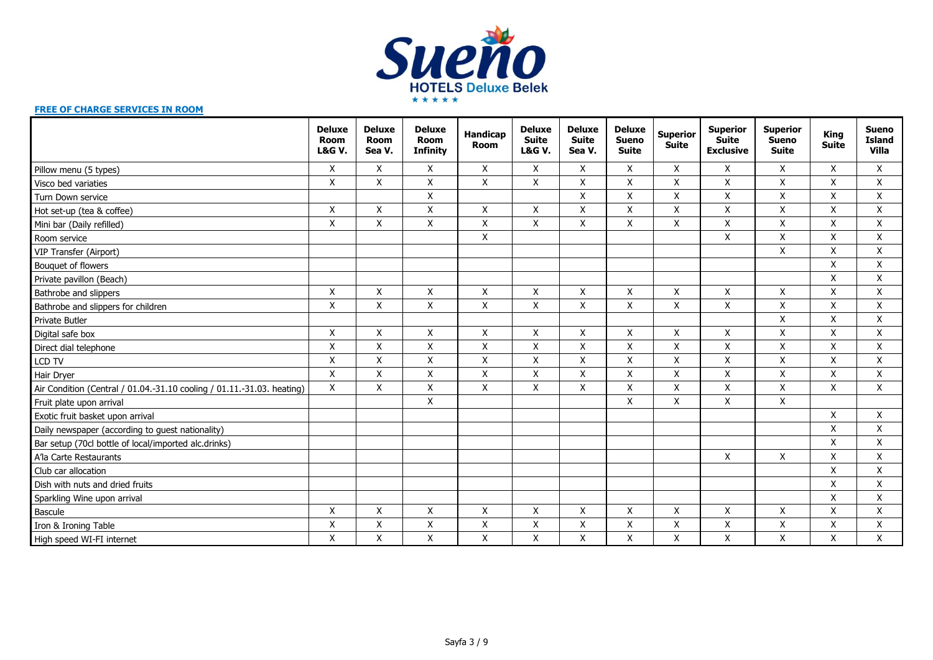

#### **FREE OF CHARGE SERVICES IN ROOM**

|                                                                        | <b>Deluxe</b><br><b>Room</b><br><b>L&amp;G V.</b> | <b>Deluxe</b><br><b>Room</b><br>Sea V. | <b>Deluxe</b><br><b>Room</b><br><b>Infinity</b> | Handicap<br><b>Room</b> | <b>Deluxe</b><br><b>Suite</b><br><b>L&amp;G V.</b> | <b>Deluxe</b><br><b>Suite</b><br>Sea V. | <b>Deluxe</b><br><b>Sueno</b><br><b>Suite</b> | <b>Superior</b><br><b>Suite</b> | <b>Superior</b><br><b>Suite</b><br><b>Exclusive</b> | <b>Superior</b><br><b>Sueno</b><br><b>Suite</b> | <b>King</b><br><b>Suite</b> | <b>Sueno</b><br><b>Island</b><br><b>Villa</b> |
|------------------------------------------------------------------------|---------------------------------------------------|----------------------------------------|-------------------------------------------------|-------------------------|----------------------------------------------------|-----------------------------------------|-----------------------------------------------|---------------------------------|-----------------------------------------------------|-------------------------------------------------|-----------------------------|-----------------------------------------------|
| Pillow menu (5 types)                                                  | X                                                 | X                                      | X                                               | X                       | X                                                  | X                                       | X                                             | X                               | X                                                   | X                                               | X                           | X                                             |
| Visco bed variaties                                                    | X                                                 | X                                      | $\pmb{\mathsf{X}}$                              | X                       | X                                                  | X                                       | $\pmb{\mathsf{X}}$                            | X                               | X                                                   | X                                               | X                           | X                                             |
| Turn Down service                                                      |                                                   |                                        | $\pmb{\mathsf{X}}$                              |                         |                                                    | X                                       | $\pmb{\mathsf{X}}$                            | $\mathsf X$                     | Χ                                                   | $\pmb{\times}$                                  | X                           | X                                             |
| Hot set-up (tea & coffee)                                              | X                                                 | X                                      | Χ                                               | X                       | X                                                  | Χ                                       | X                                             | X                               | Χ                                                   | X                                               | Χ                           | Χ                                             |
| Mini bar (Daily refilled)                                              | X                                                 | X                                      | X                                               | X                       | X                                                  | X                                       | X                                             | X                               | X                                                   | X                                               | X                           | X                                             |
| Room service                                                           |                                                   |                                        |                                                 | $\mathsf{X}$            |                                                    |                                         |                                               |                                 | X                                                   | $\mathsf{X}$                                    | X                           | X                                             |
| VIP Transfer (Airport)                                                 |                                                   |                                        |                                                 |                         |                                                    |                                         |                                               |                                 |                                                     | $\pmb{\times}$                                  | X                           | X                                             |
| Bouquet of flowers                                                     |                                                   |                                        |                                                 |                         |                                                    |                                         |                                               |                                 |                                                     |                                                 | X                           | X                                             |
| Private pavillon (Beach)                                               |                                                   |                                        |                                                 |                         |                                                    |                                         |                                               |                                 |                                                     |                                                 | X                           | X                                             |
| Bathrobe and slippers                                                  | X                                                 | X                                      | X                                               | X                       | X                                                  | X                                       | X                                             | X                               | X                                                   | X                                               | X                           | X                                             |
| Bathrobe and slippers for children                                     | X                                                 | X                                      | $\mathsf{X}$                                    | $\mathsf{X}$            | X                                                  | X                                       | $\mathsf{x}$                                  | $\mathsf{x}$                    | X                                                   | $\pmb{\times}$                                  | X                           | X                                             |
| <b>Private Butler</b>                                                  |                                                   |                                        |                                                 |                         |                                                    |                                         |                                               |                                 |                                                     | X                                               | X                           | X                                             |
| Digital safe box                                                       | X                                                 | X                                      | Χ                                               | X                       | X                                                  | X                                       | $\pmb{\mathsf{X}}$                            | X                               | X                                                   | $\pmb{\times}$                                  | X                           | Χ                                             |
| Direct dial telephone                                                  | $\pmb{\times}$                                    | $\mathsf X$                            | Χ                                               | X                       | X                                                  | Χ                                       | Χ                                             | X                               | Χ                                                   | $\pmb{\mathsf{X}}$                              | Χ                           | X                                             |
| LCD TV                                                                 | X                                                 | X                                      | Χ                                               | X                       | X                                                  | X                                       | X                                             | X                               | Χ                                                   | X                                               | X                           | X                                             |
| Hair Dryer                                                             | X                                                 | $\mathsf{X}$                           | $\pmb{\times}$                                  | $\pmb{\times}$          | X                                                  | X                                       | X                                             | X                               | X                                                   | $\pmb{\times}$                                  | X                           | X                                             |
| Air Condition (Central / 01.04.-31.10 cooling / 01.11.-31.03. heating) | X                                                 | X                                      | X                                               | X                       | X                                                  | X                                       | X                                             | X                               | X                                                   | X                                               | X                           | X                                             |
| Fruit plate upon arrival                                               |                                                   |                                        | $\pmb{\mathsf{X}}$                              |                         |                                                    |                                         | $\pmb{\mathsf{X}}$                            | X                               | Χ                                                   | $\pmb{\times}$                                  |                             |                                               |
| Exotic fruit basket upon arrival                                       |                                                   |                                        |                                                 |                         |                                                    |                                         |                                               |                                 |                                                     |                                                 | Χ                           | Χ                                             |
| Daily newspaper (according to guest nationality)                       |                                                   |                                        |                                                 |                         |                                                    |                                         |                                               |                                 |                                                     |                                                 | X                           | Χ                                             |
| Bar setup (70cl bottle of local/imported alc.drinks)                   |                                                   |                                        |                                                 |                         |                                                    |                                         |                                               |                                 |                                                     |                                                 | X                           | X                                             |
| A'la Carte Restaurants                                                 |                                                   |                                        |                                                 |                         |                                                    |                                         |                                               |                                 | Χ                                                   | X                                               | X                           | X                                             |
| Club car allocation                                                    |                                                   |                                        |                                                 |                         |                                                    |                                         |                                               |                                 |                                                     |                                                 | X                           | X                                             |
| Dish with nuts and dried fruits                                        |                                                   |                                        |                                                 |                         |                                                    |                                         |                                               |                                 |                                                     |                                                 | X                           | X                                             |
| Sparkling Wine upon arrival                                            |                                                   |                                        |                                                 |                         |                                                    |                                         |                                               |                                 |                                                     |                                                 | X                           | X                                             |
| Bascule                                                                | X                                                 | X                                      | Χ                                               | X                       | X                                                  | X                                       | $\pmb{\mathsf{X}}$                            | X                               | X                                                   | $\pmb{\times}$                                  | X                           | X                                             |
| Iron & Ironing Table                                                   | Χ                                                 | Χ                                      | $\pmb{\mathsf{X}}$                              | Χ                       | Χ                                                  | X                                       | Χ                                             | Χ                               | Χ                                                   | $\pmb{\mathsf{X}}$                              | X                           | X                                             |
| High speed WI-FI internet                                              | $\pmb{\times}$                                    | Χ                                      | $\pmb{\mathsf{X}}$                              | X                       | Χ                                                  | $\pmb{\mathsf{X}}$                      | $\pmb{\mathsf{X}}$                            | $\mathsf X$                     | Χ                                                   | $\pmb{\mathsf{X}}$                              | Χ                           | Χ                                             |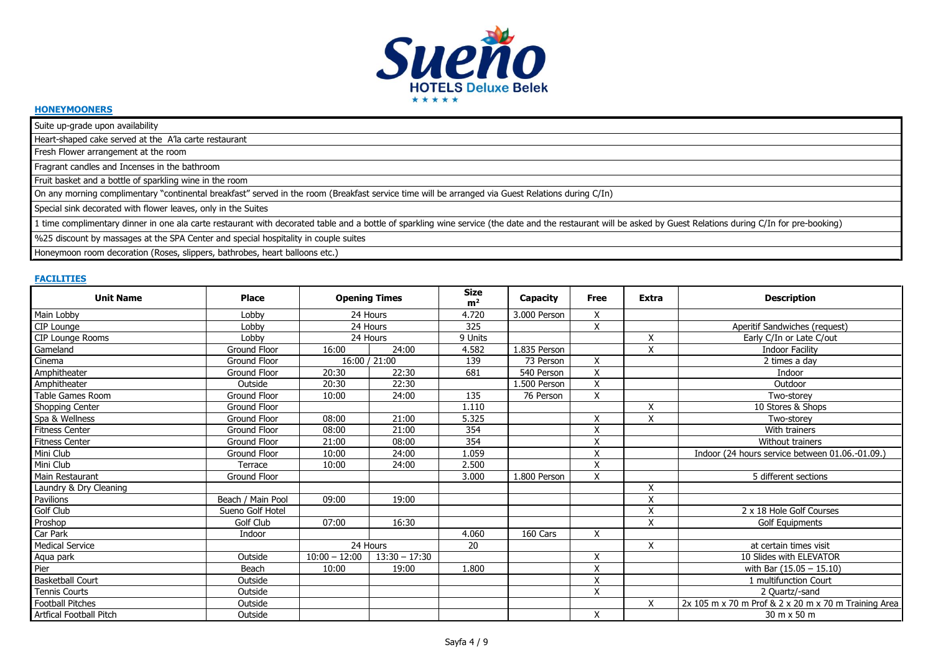

#### **HONEYMOONERS**

Suite up-grade upon availability

Heart-shaped cake served at the A'la carte restaurant

Fresh Flower arrangement at the room

Fragrant candles and Incenses in the bathroom

Fruit basket and a bottle of sparkling wine in the room

On any morning complimentary "continental breakfast" served in the room (Breakfast service time will be arranged via Guest Relations during C/In)

Special sink decorated with flower leaves, only in the Suites

1 time complimentary dinner in one ala carte restaurant with decorated table and a bottle of sparkling wine service (the date and the restaurant will be asked by Guest Relations during C/In for pre-booking)

%25 discount by massages at the SPA Center and special hospitality in couple suites

Honeymoon room decoration (Roses, slippers, bathrobes, heart balloons etc.)

#### **FACILITIES**

| <b>Unit Name</b>        | Place               | <b>Opening Times</b> |                 | <b>Size</b><br>m <sup>2</sup> | Capacity       | Free                      | <b>Extra</b> | <b>Description</b>                                   |
|-------------------------|---------------------|----------------------|-----------------|-------------------------------|----------------|---------------------------|--------------|------------------------------------------------------|
| Main Lobby              | Lobby               | 24 Hours             |                 | 4.720                         | 3.000 Person   | X                         |              |                                                      |
| CIP Lounge              | Lobby               | 24 Hours             |                 | 325                           |                | Χ                         |              | Aperitif Sandwiches (request)                        |
| CIP Lounge Rooms        | Lobby               | 24 Hours             |                 | 9 Units                       |                |                           | X            | Early C/In or Late C/out                             |
| Gameland                | <b>Ground Floor</b> | 16:00                | 24:00           | 4.582                         | $1.835$ Person |                           | X            | <b>Indoor Facility</b>                               |
| Cinema                  | Ground Floor        |                      | 16:00 / 21:00   | 139                           | 73 Person      | X                         |              | 2 times a day                                        |
| Amphitheater            | Ground Floor        | 20:30                | 22:30           | 681                           | 540 Person     | Χ                         |              | Indoor                                               |
| Amphitheater            | Outside             | 20:30                | 22:30           |                               | 1.500 Person   | Χ                         |              | Outdoor                                              |
| Table Games Room        | Ground Floor        | 10:00                | 24:00           | 135                           | 76 Person      | Χ                         |              | Two-storey                                           |
| Shopping Center         | Ground Floor        |                      |                 | 1.110                         |                |                           | X            | 10 Stores & Shops                                    |
| Spa & Wellness          | Ground Floor        | 08:00                | 21:00           | 5.325                         |                | Χ                         | X            | Two-storey                                           |
| <b>Fitness Center</b>   | Ground Floor        | 08:00                | 21:00           | 354                           |                | Χ                         |              | With trainers                                        |
| <b>Fitness Center</b>   | Ground Floor        | 21:00                | 08:00           | 354                           |                | X                         |              | Without trainers                                     |
| Mini Club               | Ground Floor        | 10:00                | 24:00           | 1.059                         |                | $\overline{\mathsf{x}}$   |              | Indoor (24 hours service between 01.06.-01.09.)      |
| Mini Club               | Terrace             | 10:00                | 24:00           | 2.500                         |                | Χ                         |              |                                                      |
| Main Restaurant         | <b>Ground Floor</b> |                      |                 | 3.000                         | 1.800 Person   | Χ                         |              | 5 different sections                                 |
| Laundry & Dry Cleaning  |                     |                      |                 |                               |                |                           | X            |                                                      |
| Pavilions               | Beach / Main Pool   | 09:00                | 19:00           |                               |                |                           | X            |                                                      |
| Golf Club               | Sueno Golf Hotel    |                      |                 |                               |                |                           | X            | 2 x 18 Hole Golf Courses                             |
| Proshop                 | Golf Club           | 07:00                | 16:30           |                               |                |                           | X            | <b>Golf Equipments</b>                               |
| Car Park                | Indoor              |                      |                 | 4.060                         | 160 Cars       | X                         |              |                                                      |
| <b>Medical Service</b>  |                     | 24 Hours             |                 | 20                            |                |                           | X            | at certain times visit                               |
| Aqua park               | Outside             | $10:00 - 12:00$      | $13:30 - 17:30$ |                               |                | X                         |              | 10 Slides with ELEVATOR                              |
| Pier                    | Beach               | 10:00                | 19:00           | 1.800                         |                | X                         |              | with Bar $(15.05 - 15.10)$                           |
| <b>Basketball Court</b> | Outside             |                      |                 |                               |                | X                         |              | 1 multifunction Court                                |
| Tennis Courts           | Outside             |                      |                 |                               |                | $\boldsymbol{\mathsf{X}}$ |              | 2 Quartz/-sand                                       |
| <b>Football Pitches</b> | Outside             |                      |                 |                               |                |                           | X            | 2x 105 m x 70 m Prof & 2 x 20 m x 70 m Training Area |
| Artfical Football Pitch | Outside             |                      |                 |                               |                | $\mathsf{x}$              |              | 30 m x 50 m                                          |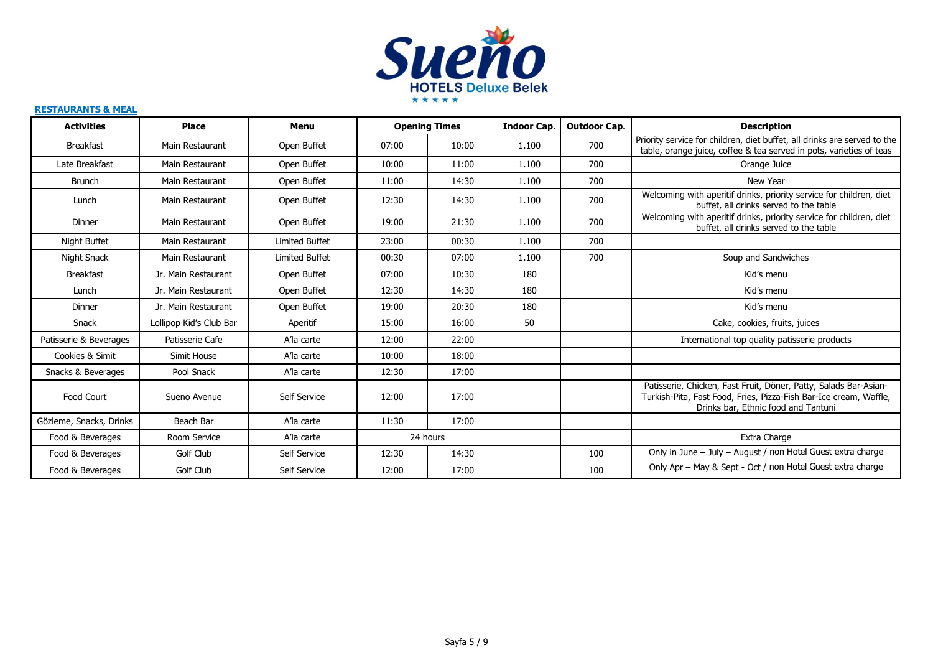

#### **RESTAURANTS & MEAL**

| <b>Activities</b>       | <b>Place</b>            | Menu                  |       | <b>Opening Times</b> | <b>Indoor Cap.</b> | <b>Outdoor Cap.</b> | <b>Description</b>                                                                                                                                                           |
|-------------------------|-------------------------|-----------------------|-------|----------------------|--------------------|---------------------|------------------------------------------------------------------------------------------------------------------------------------------------------------------------------|
| <b>Breakfast</b>        | Main Restaurant         | Open Buffet           | 07:00 | 10:00                | 1.100              | 700                 | Priority service for children, diet buffet, all drinks are served to the<br>table, orange juice, coffee & tea served in pots, varieties of teas                              |
| Late Breakfast          | Main Restaurant         | Open Buffet           | 10:00 | 11:00                | 1.100              | 700                 | Orange Juice                                                                                                                                                                 |
| <b>Brunch</b>           | Main Restaurant         | Open Buffet           | 11:00 | 14:30                | 1.100              | 700                 | New Year                                                                                                                                                                     |
| Lunch                   | Main Restaurant         | Open Buffet           | 12:30 | 14:30                | 1.100              | 700                 | Welcoming with aperitif drinks, priority service for children, diet<br>buffet, all drinks served to the table                                                                |
| Dinner                  | Main Restaurant         | Open Buffet           | 19:00 | 21:30                | 1.100              | 700                 | Welcoming with aperitif drinks, priority service for children, diet<br>buffet, all drinks served to the table                                                                |
| Night Buffet            | Main Restaurant         | <b>Limited Buffet</b> | 23:00 | 00:30                | 1.100              | 700                 |                                                                                                                                                                              |
| Night Snack             | Main Restaurant         | <b>Limited Buffet</b> | 00:30 | 07:00                | 1.100              | 700                 | Soup and Sandwiches                                                                                                                                                          |
| <b>Breakfast</b>        | Jr. Main Restaurant     | Open Buffet           | 07:00 | 10:30                | 180                |                     | Kid's menu                                                                                                                                                                   |
| Lunch                   | Jr. Main Restaurant     | Open Buffet           | 12:30 | 14:30                | 180                |                     | Kid's menu                                                                                                                                                                   |
| Dinner                  | Jr. Main Restaurant     | Open Buffet           | 19:00 | 20:30                | 180                |                     | Kid's menu                                                                                                                                                                   |
| Snack                   | Lollipop Kid's Club Bar | Aperitif              | 15:00 | 16:00                | 50                 |                     | Cake, cookies, fruits, juices                                                                                                                                                |
| Patisserie & Beverages  | Patisserie Cafe         | A'la carte            | 12:00 | 22:00                |                    |                     | International top quality patisserie products                                                                                                                                |
| Cookies & Simit         | Simit House             | A'la carte            | 10:00 | 18:00                |                    |                     |                                                                                                                                                                              |
| Snacks & Beverages      | Pool Snack              | A'la carte            | 12:30 | 17:00                |                    |                     |                                                                                                                                                                              |
| Food Court              | Sueno Avenue            | Self Service          | 12:00 | 17:00                |                    |                     | Patisserie, Chicken, Fast Fruit, Döner, Patty, Salads Bar-Asian-<br>Turkish-Pita, Fast Food, Fries, Pizza-Fish Bar-Ice cream, Waffle,<br>Drinks bar, Ethnic food and Tantuni |
| Gözleme, Snacks, Drinks | Beach Bar               | A'la carte            | 11:30 | 17:00                |                    |                     |                                                                                                                                                                              |
| Food & Beverages        | Room Service            | A'la carte            |       | 24 hours             |                    |                     | Extra Charge                                                                                                                                                                 |
| Food & Beverages        | Golf Club               | Self Service          | 12:30 | 14:30                |                    | 100                 | Only in June - July - August / non Hotel Guest extra charge                                                                                                                  |
| Food & Beverages        | Golf Club               | Self Service          | 12:00 | 17:00                |                    | 100                 | Only Apr - May & Sept - Oct / non Hotel Guest extra charge                                                                                                                   |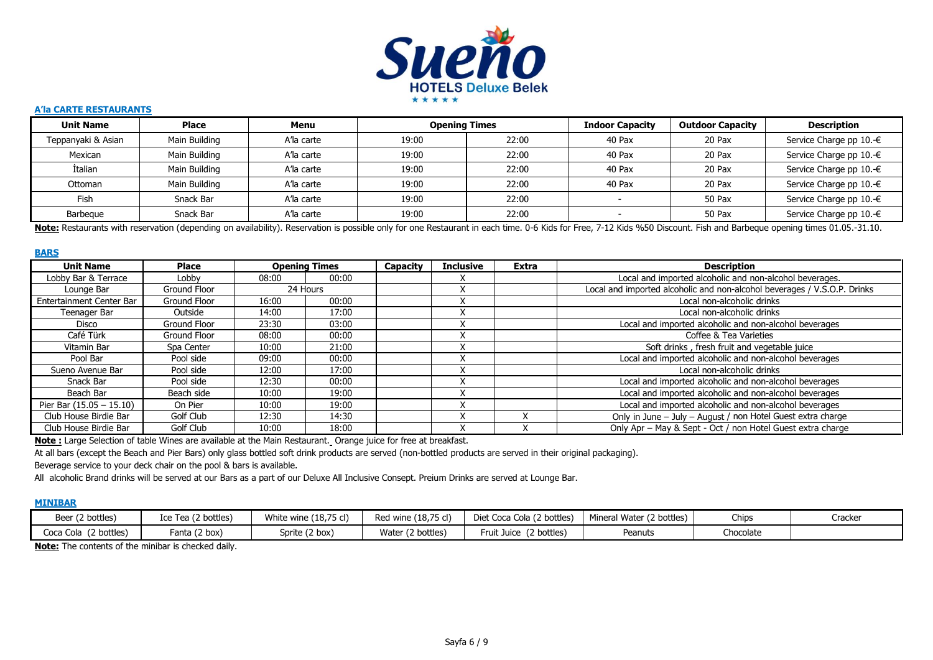

#### **A'la CARTE RESTAURANTS**

| <b>Unit Name</b>   | <b>Place</b>  | Menu       | <b>Opening Times</b> |       | <b>Indoor Capacity</b> | <b>Outdoor Capacity</b> | Description             |
|--------------------|---------------|------------|----------------------|-------|------------------------|-------------------------|-------------------------|
| Teppanyaki & Asian | Main Building | A'la carte | 19:00                | 22:00 | 40 Pax                 | 20 Pax                  | Service Charge pp 10.-€ |
| Mexican            | Main Building | A'la carte | 19:00                | 22:00 | 40 Pax                 | 20 Pax                  | Service Charge pp 10.-€ |
| <b>İtalian</b>     | Main Building | A'la carte | 19:00                | 22:00 | 40 Pax                 | 20 Pax                  | Service Charge pp 10.-€ |
| Ottoman            | Main Building | A'la carte | 19:00                | 22:00 | 40 Pax                 | 20 Pax                  | Service Charge pp 10.-€ |
| Fish               | Snack Bar     | A'la carte | 19:00                | 22:00 |                        | 50 Pax                  | Service Charge pp 10.-€ |
| Barbegue           | Snack Bar     | A'la carte | 19:00                | 22:00 |                        | 50 Pax                  | Service Charge pp 10.-€ |

Note: Restaurants with reservation (depending on availability). Reservation is possible only for one Restaurant in each time. 0-6 Kids for Free, 7-12 Kids %50 Discount. Fish and Barbeque opening times 01.05.-31.10.

#### **BARS**

| <b>Unit Name</b>           | Place        |       | <b>Opening Times</b> | Capacity | <b>Inclusive</b> | <b>Extra</b> | <b>Description</b>                                                       |
|----------------------------|--------------|-------|----------------------|----------|------------------|--------------|--------------------------------------------------------------------------|
| Lobby Bar & Terrace        | Lobby        | 08:00 | 00:00                |          |                  |              | Local and imported alcoholic and non-alcohol beverages.                  |
| Lounge Bar                 | Ground Floor |       | 24 Hours             |          |                  |              | Local and imported alcoholic and non-alcohol beverages / V.S.O.P. Drinks |
| Entertainment Center Bar   | Ground Floor | 16:00 | 00:00                |          |                  |              | Local non-alcoholic drinks                                               |
| Teenager Bar               | Outside      | 14:00 | 17:00                |          |                  |              | Local non-alcoholic drinks                                               |
| Disco                      | Ground Floor | 23:30 | 03:00                |          |                  |              | Local and imported alcoholic and non-alcohol beverages                   |
| Café Türk                  | Ground Floor | 08:00 | 00:00                |          |                  |              | Coffee & Tea Varieties                                                   |
| Vitamin Bar                | Spa Center   | 10:00 | 21:00                |          |                  |              | Soft drinks, fresh fruit and vegetable juice                             |
| Pool Bar                   | Pool side    | 09:00 | 00:00                |          |                  |              | Local and imported alcoholic and non-alcohol beverages                   |
| Sueno Avenue Bar           | Pool side    | 12:00 | 17:00                |          |                  |              | Local non-alcoholic drinks                                               |
| Snack Bar                  | Pool side    | 12:30 | 00:00                |          |                  |              | Local and imported alcoholic and non-alcohol beverages                   |
| Beach Bar                  | Beach side   | 10:00 | 19:00                |          |                  |              | Local and imported alcoholic and non-alcohol beverages                   |
| Pier Bar $(15.05 - 15.10)$ | On Pier      | 10:00 | 19:00                |          |                  |              | Local and imported alcoholic and non-alcohol beverages                   |
| Club House Birdie Bar      | Golf Club    | 12:30 | 14:30                |          |                  |              | Only in June - July - August / non Hotel Guest extra charge              |
| Club House Birdie Bar      | Golf Club    | 10:00 | 18:00                |          |                  |              | Only Apr - May & Sept - Oct / non Hotel Guest extra charge               |

**Note :** Large Selection of table Wines are available at the Main Restaurant. Orange juice for free at breakfast.

At all bars (except the Beach and Pier Bars) only glass bottled soft drink products are served (non-bottled products are served in their original packaging).

Beverage service to your deck chair on the pool & bars is available.

All alcoholic Brand drinks will be served at our Bars as a part of our Deluxe All Inclusive Consept. Preium Drinks are served at Lounge Bar.

#### **MINIBAR**

| Beer (2 bottles)           | Ice Tea (2 bottles) | White wine (18,75 cl) | Red wine (18,75 cl)    | Diet Coca Cola (2 bottles) | Mineral Water (2 bottles) | Chips     | Cracker |
|----------------------------|---------------------|-----------------------|------------------------|----------------------------|---------------------------|-----------|---------|
| Coca Cola (<br>(2 bottles) | Fanta (2 box)       | Sprite (2 box)        | Water (<br>(2 bottles) | (2 bottles)<br>Fruit Juice | Peanuts                   | Chocolate |         |

**Note:** The contents of the minibar is checked daily.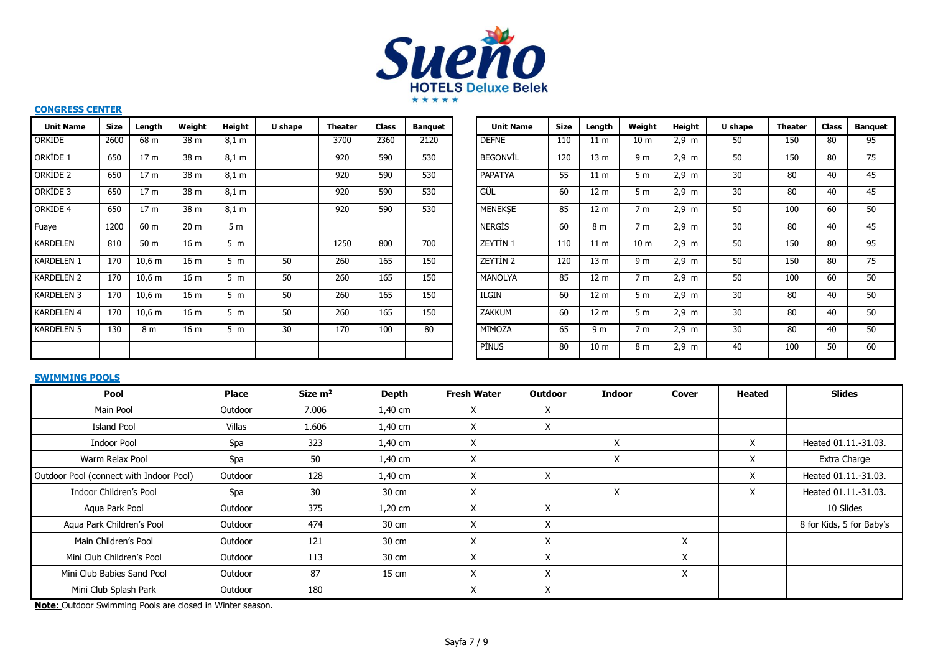

#### **CONGRESS CENTER**

| <b>Unit Name</b>  | <b>Size</b> | Length          | Weight          | Height         | U shape | Theater | <b>Class</b> | <b>Banguet</b> | <b>Unit Name</b> | <b>Size</b> | Length          | Weight          | Height          | U shape         | <b>Theater</b> | <b>Class</b> | <b>Banquet</b> |
|-------------------|-------------|-----------------|-----------------|----------------|---------|---------|--------------|----------------|------------------|-------------|-----------------|-----------------|-----------------|-----------------|----------------|--------------|----------------|
| ORKIDE            | 2600        | 68 m            | 38 m            | 8,1 m          |         | 3700    | 2360         | 2120           | <b>DEFNE</b>     | 110         | 11 <sub>m</sub> | 10 <sub>m</sub> | $2,9 \text{ m}$ | 50              | 150            | 80           | 95             |
| ORKIDE 1          | 650         | 17 <sub>m</sub> | 38 m            | 8,1 m          |         | 920     | 590          | 530            | <b>BEGONVIL</b>  | 120         | 13 <sub>m</sub> | 9 <sub>m</sub>  | $2,9 \text{ m}$ | 50              | 150            | 80           | 75             |
| ORKIDE 2          | 650         | 17 <sub>m</sub> | 38 m            | 8,1 m          |         | 920     | 590          | 530            | PAPATYA          | 55          | 11 <sub>m</sub> | 5 <sub>m</sub>  | $2.9 \text{ m}$ | 30 <sup>°</sup> | 80             | 40           | 45             |
| ORKIDE 3          | 650         | 17 <sub>m</sub> | 38 m            | 8,1 m          |         | 920     | 590          | 530            | GÜL              | 60          | 12 <sub>m</sub> | 5 <sub>m</sub>  | $2,9 \text{ m}$ | 30              | 80             | 40           | 45             |
| ORKIDE 4          | 650         | 17 <sub>m</sub> | 38 m            | 8,1 m          |         | 920     | 590          | 530            | <b>MENEKSE</b>   | 85          | 12 <sub>m</sub> | 7 <sub>m</sub>  | $2,9 \text{ m}$ | 50              | 100            | 60           | 50             |
| Fuaye             | 1200        | 60 m            | 20 <sub>m</sub> | 5 <sub>m</sub> |         |         |              |                | <b>NERGIS</b>    | 60          | 8 <sub>m</sub>  | 7 <sub>m</sub>  | 2.9~m           | 30              | 80             | 40           | 45             |
| <b>KARDELEN</b>   | 810         | 50 m            | 16 <sub>m</sub> | 5 <sub>m</sub> |         | 1250    | 800          | 700            | <b>ZEYTİN 1</b>  | 110         | 11 <sub>m</sub> | 10 <sub>m</sub> | $2,9 \text{ m}$ | 50              | 150            | 80           | 95             |
| <b>KARDELEN 1</b> | 170         | $10,6$ m        | 16 <sub>m</sub> | 5 <sub>m</sub> | 50      | 260     | 165          | 150            | <b>ZEYTIN 2</b>  | 120         | 13 <sub>m</sub> | 9 <sub>m</sub>  | $2.9 \text{ m}$ | 50              | 150            | 80           | 75             |
| <b>KARDELEN 2</b> | 170         | 10,6 m          | 16 <sub>m</sub> | 5 m            | 50      | 260     | 165          | 150            | <b>MANOLYA</b>   | 85          | 12 <sub>m</sub> | 7 <sub>m</sub>  | $2,9 \, m$      | 50              | 100            | 60           | 50             |
| <b>KARDELEN 3</b> | 170         | $10,6$ m        | 16 <sub>m</sub> | 5 <sub>m</sub> | 50      | 260     | 165          | 150            | <b>ILGIN</b>     | 60          | 12 <sub>m</sub> | 5 <sub>m</sub>  | $2.9 \text{ m}$ | 30              | 80             | 40           | 50             |
| <b>KARDELEN 4</b> | 170         | $10,6$ m        | 16 <sub>m</sub> | 5 <sub>m</sub> | 50      | 260     | 165          | 150            | <b>ZAKKUM</b>    | 60          | 12 <sub>m</sub> | 5 <sub>m</sub>  | $2,9 \text{ m}$ | 30              | 80             | 40           | 50             |
| <b>KARDELEN 5</b> | 130         | 8 <sub>m</sub>  | 16 <sub>m</sub> | 5 <sub>m</sub> | 30      | 170     | 100          | 80             | MİMOZA           | 65          | 9 <sub>m</sub>  | 7 <sub>m</sub>  | $2.9 \text{ m}$ | 30              | 80             | 40           | 50             |
|                   |             |                 |                 |                |         |         |              |                | <b>PİNUS</b>     | 80          | 10 <sub>m</sub> | 8 m             | $2,9 \text{ m}$ | 40              | 100            | 50           | 60             |

| <b>Unit Name</b> | <b>Size</b> | Length          | Weight          | <b>Height</b>   | U shape | <b>Theater</b> | <b>Class</b> | <b>Banguet</b> |
|------------------|-------------|-----------------|-----------------|-----------------|---------|----------------|--------------|----------------|
| <b>DEFNE</b>     | 110         | 11 <sub>m</sub> | 10 <sub>m</sub> | $2,9 \text{ m}$ | 50      | 150            | 80           | 95             |
| <b>BEGONVIL</b>  | 120         | 13 <sub>m</sub> | 9 m             | $2,9 \text{ m}$ | 50      | 150            | 80           | 75             |
| PAPATYA          | 55          | 11 <sub>m</sub> | 5 <sub>m</sub>  | $2,9$ m         | 30      | 80             | 40           | 45             |
| GÜL              | 60          | 12 <sub>m</sub> | 5 <sub>m</sub>  | $2,9 \text{ m}$ | 30      | 80             | 40           | 45             |
| <b>MENEKSE</b>   | 85          | 12 <sub>m</sub> | 7 m             | $2,9 \text{ m}$ | 50      | 100            | 60           | 50             |
| <b>NERGIS</b>    | 60          | 8 m             | 7 <sub>m</sub>  | $2,9 \text{ m}$ | 30      | 80             | 40           | 45             |
| ZEYTİN 1         | 110         | 11 <sub>m</sub> | 10 <sub>m</sub> | $2,9 \text{ m}$ | 50      | 150            | 80           | 95             |
| ZEYTİN 2         | 120         | 13 <sub>m</sub> | 9 m             | $2,9 \text{ m}$ | 50      | 150            | 80           | 75             |
| <b>MANOLYA</b>   | 85          | 12 <sub>m</sub> | 7 <sub>m</sub>  | $2,9 \text{ m}$ | 50      | 100            | 60           | 50             |
| ILGIN            | 60          | 12 m            | 5 <sub>m</sub>  | $2,9 \text{ m}$ | 30      | 80             | 40           | 50             |
| <b>ZAKKUM</b>    | 60          | 12 <sub>m</sub> | 5 m             | $2,9 \text{ m}$ | 30      | 80             | 40           | 50             |
| MİMOZA           | 65          | 9 <sub>m</sub>  | 7 <sub>m</sub>  | $2,9 \text{ m}$ | 30      | 80             | 40           | 50             |
| <b>PINUS</b>     | 80          | 10 <sub>m</sub> | 8 m             | $2,9 \text{ m}$ | 40      | 100            | 50           | 60             |

#### **SWIMMING POOLS**

| Pool                                    | <b>Place</b> | Size $m2$ | <b>Depth</b> | <b>Fresh Water</b> | <b>Outdoor</b> | <b>Indoor</b> | Cover | Heated | <b>Slides</b>            |
|-----------------------------------------|--------------|-----------|--------------|--------------------|----------------|---------------|-------|--------|--------------------------|
| Main Pool                               | Outdoor      | 7.006     | 1,40 cm      | X                  | Χ              |               |       |        |                          |
| <b>Island Pool</b>                      | Villas       | 1.606     | 1,40 cm      | X                  | X              |               |       |        |                          |
| Indoor Pool                             | Spa          | 323       | 1,40 cm      | X                  |                | X             |       | X      | Heated 01.11.-31.03.     |
| Warm Relax Pool                         | Spa          | 50        | $1,40$ cm    | X                  |                | X             |       | X      | Extra Charge             |
| Outdoor Pool (connect with Indoor Pool) | Outdoor      | 128       | 1,40 cm      | X                  | X              |               |       | X      | Heated 01.11.-31.03.     |
| Indoor Children's Pool                  | Spa          | 30        | 30 cm        | X                  |                | X             |       | X      | Heated 01.11.-31.03.     |
| Aqua Park Pool                          | Outdoor      | 375       | $1,20$ cm    | X                  | X              |               |       |        | 10 Slides                |
| Aqua Park Children's Pool               | Outdoor      | 474       | 30 cm        | X                  | X              |               |       |        | 8 for Kids, 5 for Baby's |
| Main Children's Pool                    | Outdoor      | 121       | 30 cm        | X.                 | X              |               | X     |        |                          |
| Mini Club Children's Pool               | Outdoor      | 113       | 30 cm        | X                  | X              |               | X     |        |                          |
| Mini Club Babies Sand Pool              | Outdoor      | 87        | 15 cm        | X                  | X              |               | Χ     |        |                          |
| Mini Club Splash Park                   | Outdoor      | 180       |              | Χ                  | X              |               |       |        |                          |

**Note:** Outdoor Swimming Pools are closed in Winter season.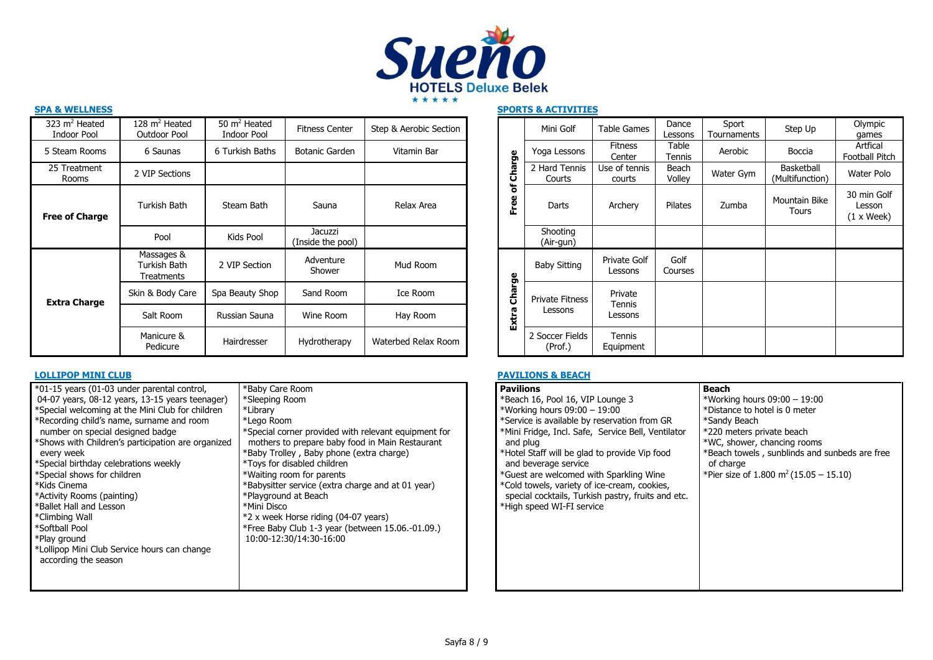

| 323 $m2$ Heated<br><b>Indoor Pool</b> | 128 $m2$ Heated<br><b>Outdoor Pool</b>   | $50 \text{ m}^2$ Heated<br>Indoor Pool | <b>Fitness Center</b>        | Step & Aerobic Section |                                  | Mini Golf                  | <b>Table Gam</b>         |
|---------------------------------------|------------------------------------------|----------------------------------------|------------------------------|------------------------|----------------------------------|----------------------------|--------------------------|
| 5 Steam Rooms                         | 6 Saunas                                 | 6 Turkish Baths                        | Botanic Garden               | Vitamin Bar            |                                  | Yoga Lessons               | <b>Fitness</b><br>Center |
| 25 Treatment<br>Rooms                 | 2 VIP Sections                           |                                        |                              |                        | harge<br>$\overline{\mathbf{o}}$ | 2 Hard Tennis<br>Courts    | Use of ten<br>courts     |
| <b>Free of Charge</b>                 | Turkish Bath                             | Steam Bath                             | Sauna                        | Relax Area             | ៵<br>Free                        | Darts                      | Archery                  |
|                                       | Pool                                     | Kids Pool                              | Jacuzzi<br>(Inside the pool) |                        |                                  | Shooting<br>(Air-gun)      |                          |
| <b>Extra Charge</b>                   | Massages &<br>Turkish Bath<br>Treatments | 2 VIP Section                          | Adventure<br>Shower          | Mud Room               |                                  | <b>Baby Sitting</b>        | Private G<br>Lessons     |
|                                       | Skin & Body Care                         | Spa Beauty Shop                        | Sand Room                    | Ice Room               | Charge                           | <b>Private Fitness</b>     | Private                  |
|                                       | Salt Room                                | Russian Sauna                          | Wine Room                    | Hay Room               | Extra                            | Lessons                    | Tennis<br>Lessons        |
|                                       | Manicure &<br>Pedicure                   | Hairdresser                            | Hydrotherapy                 | Waterbed Relax Room    |                                  | 2 Soccer Fields<br>(Prof.) | Tennis<br>Equipmer       |

| *01-15 years (01-03 under parental control,<br>04-07 years, 08-12 years, 13-15 years teenager)<br>*Special welcoming at the Mini Club for children<br>*Recording child's name, surname and room<br>number on special designed badge<br>*Shows with Children's participation are organized<br>every week<br>*Special birthday celebrations weekly<br>*Special shows for children<br>*Kids Cinema<br>*Activity Rooms (painting)<br>*Ballet Hall and Lesson<br>*Climbing Wall<br>*Softball Pool<br>*Play ground<br>*Lollipop Mini Club Service hours can change<br>according the season | *Baby Care Room<br>*Sleeping Room<br>*Library<br>*Lego Room<br>*Special corner provided with relevant equipment for<br>mothers to prepare baby food in Main Restaurant<br>*Baby Trolley, Baby phone (extra charge)<br>*Toys for disabled children<br>*Waiting room for parents<br>*Babysitter service (extra charge and at 01 year)<br>*Playground at Beach<br>*Mini Disco<br>*2 x week Horse riding (04-07 years)<br>*Free Baby Club 1-3 year (between 15.06.-01.09.)<br>10:00-12:30/14:30-16:00 |
|--------------------------------------------------------------------------------------------------------------------------------------------------------------------------------------------------------------------------------------------------------------------------------------------------------------------------------------------------------------------------------------------------------------------------------------------------------------------------------------------------------------------------------------------------------------------------------------|---------------------------------------------------------------------------------------------------------------------------------------------------------------------------------------------------------------------------------------------------------------------------------------------------------------------------------------------------------------------------------------------------------------------------------------------------------------------------------------------------|
|                                                                                                                                                                                                                                                                                                                                                                                                                                                                                                                                                                                      |                                                                                                                                                                                                                                                                                                                                                                                                                                                                                                   |

| 28 m <sup>2</sup> Heated<br>Outdoor Pool | 50 $m2$ Heated<br>Indoor Pool | <b>Fitness Center</b>        | Step & Aerobic Section |                | Mini Golf                  | <b>Table Games</b>       | Dance<br>Lessons | Sport<br>Tournaments | Step Up                       | Olympic<br>games                    |
|------------------------------------------|-------------------------------|------------------------------|------------------------|----------------|----------------------------|--------------------------|------------------|----------------------|-------------------------------|-------------------------------------|
| 6 Saunas                                 | 6 Turkish Baths               | <b>Botanic Garden</b>        | Vitamin Bar            | pe             | Yoga Lessons               | <b>Fitness</b><br>Center | Table<br>Tennis  | Aerobic              | Boccia                        | Artfical<br>Football Pitch          |
| VIP Sections                             |                               |                              |                        | <b>Cha</b>     | 2 Hard Tennis<br>Courts    | Use of tennis<br>courts  | Beach<br>Volley  | Water Gym            | Basketball<br>(Multifunction) | Water Polo                          |
| Turkish Bath                             | Steam Bath                    | Sauna                        | Relax Area             | ৳<br>Free      | Darts                      | Archery                  | Pilates          | Zumba                | Mountain Bike<br>Tours        | 30 min Golf<br>Lesson<br>(1 x Week) |
| Pool                                     | Kids Pool                     | Jacuzzi<br>(Inside the pool) |                        |                | Shooting<br>(Air-gun)      |                          |                  |                      |                               |                                     |
| Massages &<br>Turkish Bath<br>Treatments | 2 VIP Section                 | Adventure<br>Shower          | Mud Room               | ŗр             | <b>Baby Sitting</b>        | Private Golf<br>Lessons  | Golf<br>Courses  |                      |                               |                                     |
| in & Body Care                           | Spa Beauty Shop               | Sand Room                    | Ice Room               | <b>G</b><br>රි | <b>Private Fitness</b>     | Private                  |                  |                      |                               |                                     |
| Salt Room                                | Russian Sauna                 | Wine Room                    | Hay Room               | Extra          | Lessons                    | Tennis<br>Lessons        |                  |                      |                               |                                     |
| Manicure &<br>Pedicure                   | Hairdresser                   | Hydrotherapy                 | Waterbed Relax Room    |                | 2 Soccer Fields<br>(Prof.) | Tennis<br>Equipment      |                  |                      |                               |                                     |

### **LOLLIPOP MINI CLUB PAVILIONS & BEACH**

| <b>Pavilions</b>                                                                                                                | <b>Beach</b>                                               |
|---------------------------------------------------------------------------------------------------------------------------------|------------------------------------------------------------|
| *Beach 16, Pool 16, VIP Lounge 3                                                                                                | *Working hours $09:00 - 19:00$                             |
| *Working hours $09:00 - 19:00$                                                                                                  | *Distance to hotel is 0 meter                              |
| *Service is available by reservation from GR                                                                                    | *Sandy Beach                                               |
| *Mini Fridge, Incl. Safe, Service Bell, Ventilator                                                                              | *220 meters private beach                                  |
| and plug                                                                                                                        | *WC, shower, chancing rooms                                |
| *Hotel Staff will be glad to provide Vip food<br>and beverage service                                                           | *Beach towels, sunblinds and sunbeds are free<br>of charge |
| *Guest are welcomed with Sparkling Wine                                                                                         | *Pier size of 1.800 m <sup>2</sup> (15.05 – 15.10)         |
| *Cold towels, variety of ice-cream, cookies,<br>special cocktails, Turkish pastry, fruits and etc.<br>*High speed WI-FI service |                                                            |
|                                                                                                                                 |                                                            |
|                                                                                                                                 |                                                            |
|                                                                                                                                 |                                                            |
|                                                                                                                                 |                                                            |
|                                                                                                                                 |                                                            |
|                                                                                                                                 |                                                            |